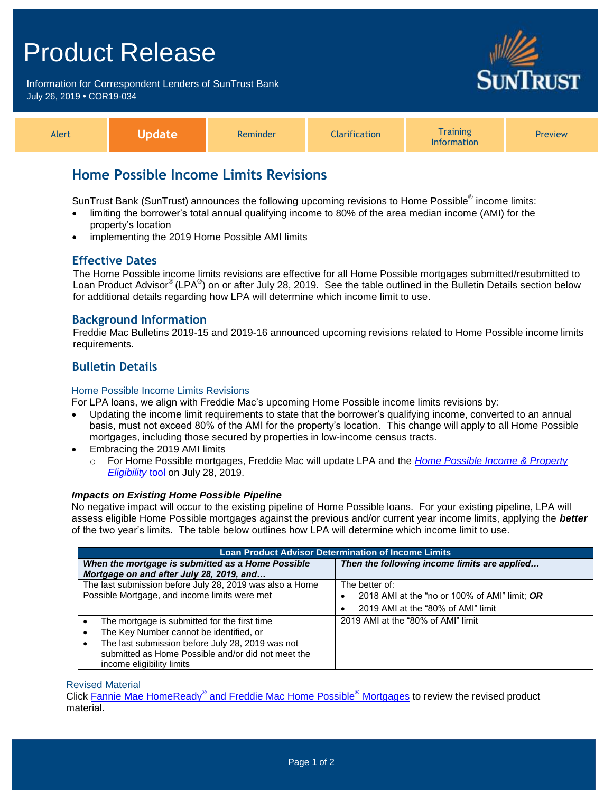# Product Release

Information for Correspondent Lenders of SunTrust Bank July 26, 2019 **•** COR19-034



**RUST** 

# **Home Possible Income Limits Revisions**

SunTrust Bank (SunTrust) announces the following upcoming revisions to Home Possible® income limits:

- limiting the borrower's total annual qualifying income to 80% of the area median income (AMI) for the property's location
- implementing the 2019 Home Possible AMI limits

#### **Effective Dates**

The Home Possible income limits revisions are effective for all Home Possible mortgages submitted/resubmitted to Loan Product Advisor® (LPA®) on or after July 28, 2019. See the table outlined in the Bulletin Details section below for additional details regarding how LPA will determine which income limit to use.

### **Background Information**

Freddie Mac Bulletins 2019-15 and 2019-16 announced upcoming revisions related to Home Possible income limits requirements.

## **Bulletin Details**

#### Home Possible Income Limits Revisions

For LPA loans, we align with Freddie Mac's upcoming Home Possible income limits revisions by:

- Updating the income limit requirements to state that the borrower's qualifying income, converted to an annual basis, must not exceed 80% of the AMI for the property's location. This change will apply to all Home Possible mortgages, including those secured by properties in low-income census tracts.
- Embracing the 2019 AMI limits
	- o For Home Possible mortgages, Freddie Mac will update LPA and the *[Home Possible Income & Property](http://www.freddiemac.com/homepossible/eligibility.html)  [Eligibility](http://www.freddiemac.com/homepossible/eligibility.html)* tool on July 28, 2019.

#### *Impacts on Existing Home Possible Pipeline*

No negative impact will occur to the existing pipeline of Home Possible loans. For your existing pipeline, LPA will assess eligible Home Possible mortgages against the previous and/or current year income limits, applying the *better* of the two year's limits. The table below outlines how LPA will determine which income limit to use.

| <b>Loan Product Advisor Determination of Income Limits</b> |                                                 |
|------------------------------------------------------------|-------------------------------------------------|
| When the mortgage is submitted as a Home Possible          | Then the following income limits are applied    |
| Mortgage on and after July 28, 2019, and                   |                                                 |
| The last submission before July 28, 2019 was also a Home   | The better of:                                  |
| Possible Mortgage, and income limits were met              | 2018 AMI at the "no or 100% of AMI" limit; OR   |
|                                                            | 2019 AMI at the "80% of AMI" limit<br>$\bullet$ |
| The mortgage is submitted for the first time               | 2019 AMI at the "80% of AMI" limit              |
| The Key Number cannot be identified, or                    |                                                 |
| The last submission before July 28, 2019 was not           |                                                 |
| submitted as Home Possible and/or did not meet the         |                                                 |
| income eligibility limits                                  |                                                 |

#### Revised Material

Click Fannie Mae HomeReady® [and Freddie Mac Home Possible](https://www.truistsellerguide.com/Manual/cor/products/CHomeReadyandHomePossible.pdf)<sup>®</sup> Mortgages to review the revised product material.